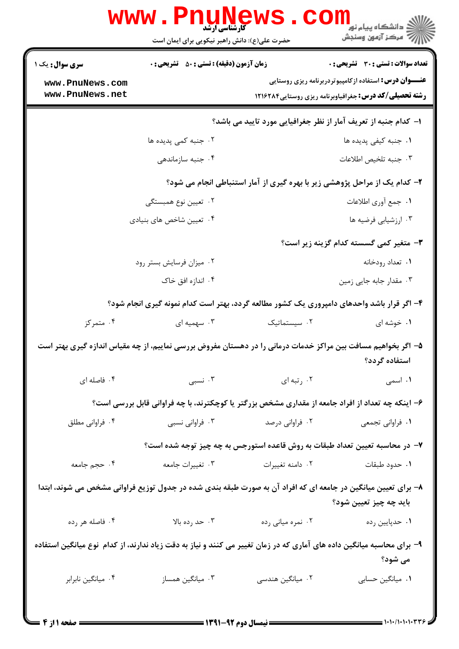|                                                                                                                                         | <b>WWW.PNUNEWS</b><br><b>کارشناسی ارشد</b><br>حضرت علی(ع): دانش راهبر نیکویی برای ایمان است       |                   | ر دانشڪاه پيام نور <mark>−</mark><br>ر <i>ا</i> =<br>رکز آزمون وسنڊش                                                          |  |
|-----------------------------------------------------------------------------------------------------------------------------------------|---------------------------------------------------------------------------------------------------|-------------------|-------------------------------------------------------------------------------------------------------------------------------|--|
| <b>سری سوال :</b> یک ۱                                                                                                                  | <b>زمان آزمون (دقیقه) : تستی : 50 ٪ تشریحی : 0</b>                                                |                   | <b>تعداد سوالات : تستی : 30 ٪ تشریحی : 0</b>                                                                                  |  |
| www.PnuNews.com<br>www.PnuNews.net                                                                                                      |                                                                                                   |                   | <b>عنـــوان درس:</b> استفاده ازکامپیوتردربرنامه ریزی روستایی<br><b>رشته تحصیلی/کد درس:</b> جغرافیاوبرنامه ریزی روستایی1۲۱۶۲۸۴ |  |
|                                                                                                                                         | ا– كدام جنبه از تعريف آمار از نظر جغرافيايي مورد تاييد مي باشد؟                                   |                   |                                                                                                                               |  |
|                                                                                                                                         | ۰۲ جنبه کمی پدیده ها                                                                              |                   | ۰۱ جنبه کیفی پدیده ها                                                                                                         |  |
|                                                                                                                                         | ۰۴ جنبه سازماندهی                                                                                 |                   | ٠٣ جنبه تلخيص اطلاعات                                                                                                         |  |
| ۲- کدام یک از مراحل پژوهشی زیر با بهره گیری از آمار استنباطی انجام می شود؟                                                              |                                                                                                   |                   |                                                                                                                               |  |
|                                                                                                                                         | ۰۲ تعیین نوع همبستگی                                                                              |                   | ٠١. جمع أورى اطلاعات                                                                                                          |  |
|                                                                                                                                         | ۰۴ تعیین شاخص های بنیادی                                                                          |                   | ۰۳ ارزشیابی فرضیه ها                                                                                                          |  |
|                                                                                                                                         |                                                                                                   |                   | <b>۳</b> - متغیر کمی گسسته کدام گزینه زیر است؟                                                                                |  |
|                                                                                                                                         | ۰۲ میزان فرسایش بستر رود                                                                          |                   | ۰۱ تعداد رودخانه                                                                                                              |  |
|                                                                                                                                         | ۰۴ اندازه افق خاک                                                                                 |                   | ۰۳ مقدار جابه جایی زمین                                                                                                       |  |
| ۴- اگر قرار باشد واحدهای دامپروری یک کشور مطالعه گردد، بهتر است کدام نمونه گیری انجام شود؟                                              |                                                                                                   |                   |                                                                                                                               |  |
| ۰۴ متمرکز                                                                                                                               | ۰۳ سهمیه ای                                                                                       | ٠٢ سيستماتيک      | ۰۱ خوشه ای                                                                                                                    |  |
| ۵– اگر بخواهیم مسافت بین مراکز خدمات درمانی را در دهستان مفروض بررسی نماییم، از چه مقیاس اندازه گیری بهتر است<br>استفاده گردد؟          |                                                                                                   |                   |                                                                                                                               |  |
| ۰۴ فاصله ای                                                                                                                             | ۰۳ نسبی                                                                                           | ۰۲ رتبه ای        | ۰۱ اسمی                                                                                                                       |  |
|                                                                                                                                         | ۶– اینکه چه تعداد از افراد جامعه از مقداری مشخص بزرگتر یا کوچکترند، با چه فراوانی قابل بررسی است؟ |                   |                                                                                                                               |  |
| ۰۴ فراوانی مطلق                                                                                                                         | ۰۳ فراوانی نسبی                                                                                   | ۰۲ فراوانی درصد   | ٠١ فراواني تجمعي                                                                                                              |  |
|                                                                                                                                         | ۷– در محاسبه تعیین تعداد طبقات به روش قاعده استورجس به چه چیز توجه شده است؟                       |                   |                                                                                                                               |  |
| ۰۴ حجم جامعه                                                                                                                            | ۰۳ تغییرات جامعه                                                                                  | ٠٢ دامنه تغييرات  | ٠١ حدود طبقات                                                                                                                 |  |
| ۸– برای تعیین میانگین در جامعه ای که افراد آن به صورت طبقه بندی شده در جدول توزیع فراوانی مشخص می شوند، ابتدا<br>باید چه چیز تعیین شود؟ |                                                                                                   |                   |                                                                                                                               |  |
| ۰۴ فاصله هر رده                                                                                                                         | ۰۳ حد رده بالا                                                                                    | ۰۲ نمره میانی رده | ٠١ حدپايين رده                                                                                                                |  |
| ۹- برای محاسبه میانگین داده های آماری که در زمان تغییر می کنند و نیاز به دقت زیاد ندارند، از کدام ًنوع میانگین استفاده<br>می شود؟       |                                                                                                   |                   |                                                                                                                               |  |
| ۰۴ میانگین نابرابر                                                                                                                      | ۰۳ میانگین همساز                                                                                  | ۰۲ میانگین هندسی  | ٠١. ميانگين حسابي                                                                                                             |  |
|                                                                                                                                         |                                                                                                   |                   |                                                                                                                               |  |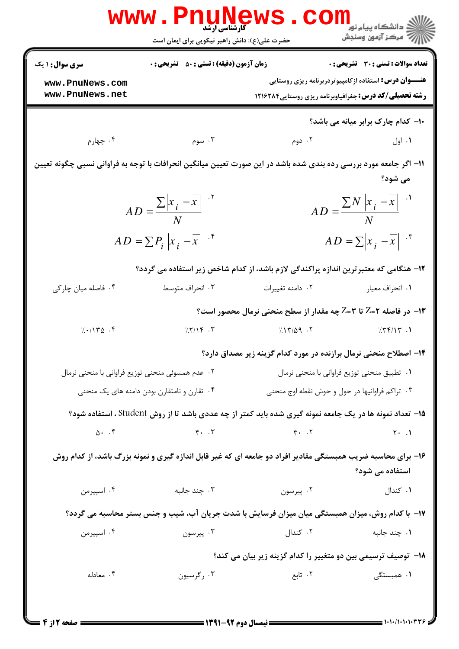|                                                                                                                                 | <b>WWW.PIIUNE</b><br>حضرت علی(ع): دانش راهبر نیکویی برای ایمان است |                                                                                       | ڪ دانشڪاه پيا <sub>م</sub> نور<br>ر <i>7</i> مرڪز آزمون وسنڊش |  |
|---------------------------------------------------------------------------------------------------------------------------------|--------------------------------------------------------------------|---------------------------------------------------------------------------------------|---------------------------------------------------------------|--|
| <b>سری سوال :</b> ۱ یک                                                                                                          | <b>زمان آزمون (دقیقه) : تستی : 50 ٪ تشریحی : 0</b>                 |                                                                                       | <b>تعداد سوالات : تستی : 30 ٪ تشریحی : 0</b>                  |  |
| www.PnuNews.com<br>www.PnuNews.net                                                                                              |                                                                    | <b>رشته تحصیلی/کد درس:</b> جغرافیاوبرنامه ریزی روستایی1۲۱۶۲۸۴                         | <b>عنـــوان درس:</b> استفاده ازکامپیوتردربرنامه ریزی روستایی  |  |
|                                                                                                                                 |                                                                    |                                                                                       |                                                               |  |
|                                                                                                                                 |                                                                    |                                                                                       | 10- کدام چارک برابر میانه می باشد؟                            |  |
| ۰۴ چهارم                                                                                                                        | ۰۳ سوم                                                             | ۰۲ دوم                                                                                | ۰۱ اول                                                        |  |
| 1۱– اگر جامعه مورد بررسی رده بندی شده باشد در این صورت تعیین میانگین انحرافات با توجه به فراوانی نسبی چگونه تعیین               |                                                                    |                                                                                       |                                                               |  |
|                                                                                                                                 |                                                                    |                                                                                       | می شود؟                                                       |  |
|                                                                                                                                 | $AD = \frac{\sum  x_i - \overline{x} }{N}$                         |                                                                                       | $AD = \frac{\sum N \left  x_i - \overline{x} \right }{N}$     |  |
|                                                                                                                                 | $AD = \sum P_i  x_i - \overline{x} $ if                            |                                                                                       | $AD = \sum  x_i - \overline{x} ^{x}$                          |  |
|                                                                                                                                 |                                                                    | ۱۲- هنگامی که معتبر ترین اندازه پراکندگی لازم باشد، از کدام شاخص زیر استفاده می گردد؟ |                                                               |  |
| ۰۴ فاصله میان چارکی                                                                                                             | ۰۳ انحراف متوسط                                                    | ٠٢ دامنه تغييرات                                                                      | ٠١. انحراف معيار                                              |  |
|                                                                                                                                 |                                                                    | ۱۳- در فاصله ۲=Z تا ۳=Z چه مقدار از سطح منحنی نرمال محصور است؟                        |                                                               |  |
| 7.1140.8                                                                                                                        | 7.7/19.7                                                           | 7.17/09.7                                                                             | 7.77/17.1                                                     |  |
|                                                                                                                                 |                                                                    | ۱۴– اصطلاح منحنی نرمال برازنده در مورد کدام گزینه زیر مصداق دارد؟                     |                                                               |  |
|                                                                                                                                 | ۰۲ عدم همسوئی منحنی توزیع فراوانی با منحنی نرمال                   |                                                                                       | ٠١ تطبيق منحنى توزيع فراواني با منحنى نرمال                   |  |
|                                                                                                                                 | ۰۴ تقارن و نامتقارن بودن دامنه های یک منحنی                        | ۰۳ تراکم فراوانیها در حول و حوش نقطه اوج منحنی                                        |                                                               |  |
| <b>۱۵</b> - تعداد نمونه ها در یک جامعه نمونه گیری شده باید کمتر از چه عددی باشد تا از روش Student ، استفاده شود؟                |                                                                    |                                                                                       |                                                               |  |
|                                                                                                                                 | $\Delta$ . $\zeta$                                                 | $\forall \cdot \cdot \cdot \mathcal{A}$                                               | $Y \cdot .1$                                                  |  |
| ۱۶- برای محاسبه ضریب همبستگی مقادیر افراد دو جامعه ای که غیر قابل اندازه گیری و نمونه بزرگ باشد، از کدام روش<br>استفاده می شود؟ |                                                                    |                                                                                       |                                                               |  |
| ۰۴ اسپیرمن                                                                                                                      | ۰۳ چند جانبه                                                       | ۰۲ پیرسون                                                                             | ۰۱ کندال                                                      |  |
| ۱۷- با کدام روش، میزان همبستگی میان میزان فرسایش با شدت جریان آب، شیب و جنس بستر محاسبه می گردد؟                                |                                                                    |                                                                                       |                                                               |  |
| ۰۴ اسپیرمن                                                                                                                      | ۰۳ پیرسون                                                          | ۲. کندال                                                                              | ۰۱ چند جانبه                                                  |  |
|                                                                                                                                 |                                                                    | <b>۱۸</b> – توصیف ترسیمی بین دو متغییر را کدام گزینه زیر بیان می کند؟                 |                                                               |  |
| ۰۴ معادله                                                                                                                       | ۰۳ رگرسیون                                                         | ۰۲ تابع                                                                               | ۰۱ همبستگی                                                    |  |
|                                                                                                                                 |                                                                    |                                                                                       |                                                               |  |
|                                                                                                                                 |                                                                    |                                                                                       |                                                               |  |

صفحه 2 از 4 =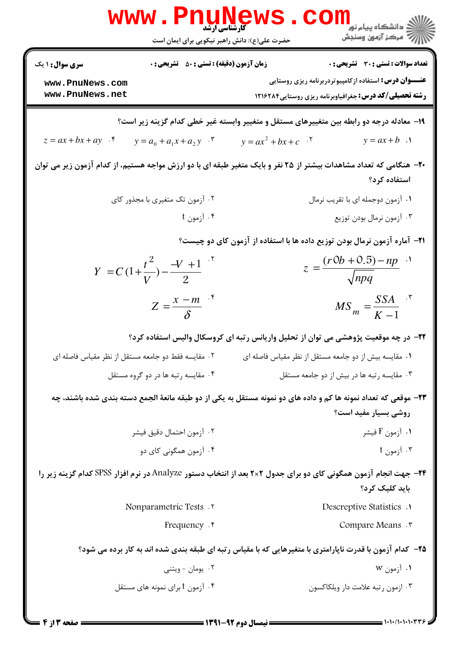|                                                                                                                                         | <b>WWW.PNUNEV</b><br><b>کارشناسی ارشد</b><br>حضرت علی(ع): دانش راهبر نیکویی برای ایمان است         | د دانشگاه پيام نو <mark>ر</mark><br>رج آمرڪز آزمون وسنڊش                                                                       |  |  |
|-----------------------------------------------------------------------------------------------------------------------------------------|----------------------------------------------------------------------------------------------------|--------------------------------------------------------------------------------------------------------------------------------|--|--|
| <b>سری سوال :</b> ۱ یک                                                                                                                  | <b>تعداد سوالات : تستی : 30 ٪ تشریحی : 0</b><br><b>زمان آزمون (دقیقه) : تستی : 50 ٪ تشریحی : 0</b> |                                                                                                                                |  |  |
| www.PnuNews.com<br>www.PnuNews.net                                                                                                      |                                                                                                    | <b>عنـــوان درس:</b> استفاده ازکامپیوتردربرنامه ریزی روستایی<br><b>رشته تحصیلی/کد درس: جغرافیاوبرنامه ریزی روستایی28261 13</b> |  |  |
| ۱۹- معادله درجه دو رابطه بین متغییرهای مستقل و متغییر وابسته غیر خطی کدام گزینه زیر است؟                                                |                                                                                                    |                                                                                                                                |  |  |
| $z = ax + bx + ay$ .                                                                                                                    | $y = a_0 + a_1 x + a_2 y$ .                                                                        | $y = ax + b$ .<br>$y = ax^2 + bx + c$                                                                                          |  |  |
| +۲- هنگامی که تعداد مشاهدات بیشتر از ۲۵ نفر و بایک متغیر طبقه ای با دو ارزش مواجه هستیم، از کدام آزمون زیر می توان<br>استفاده کرد؟      |                                                                                                    |                                                                                                                                |  |  |
|                                                                                                                                         | ۰۲ آزمون تک متغیری با مجذور کای                                                                    | ٠١ آزمون دوجمله اي با تقريب نرمال                                                                                              |  |  |
|                                                                                                                                         | ۰۴ آزمون t                                                                                         | ۰۳ آزمون نرمال بودن توزيع                                                                                                      |  |  |
| <b>۲۱</b> - آماره آزمون نرمال بودن توزیع داده ها با استفاده از آزمون کای دو چیست؟                                                       |                                                                                                    |                                                                                                                                |  |  |
|                                                                                                                                         | $Y = C(1+\frac{t^2}{V}) - \frac{-V+1}{2}$                                                          | $z = \frac{(r0b + 0.5) - np}{\sqrt{npq}}$                                                                                      |  |  |
|                                                                                                                                         | $Z=\frac{x-m}{\delta}$                                                                             | $MS_m = \frac{SSA}{K-1}$                                                                                                       |  |  |
| ۲۲– در چه موقعیت پژوهشی می توان از تحلیل واریانس رتبه ای کروسکال والیس استفاده کرد؟                                                     |                                                                                                    |                                                                                                                                |  |  |
| ۰۲ مقایسه فقط دو جامعه مستقل از نظر مقیاس فاصله ای                                                                                      |                                                                                                    | ۰۱ مقایسه بیش از دو جامعه مستقل از نظر مقیاس فاصله ای                                                                          |  |  |
|                                                                                                                                         | ۰۴ مقایسه رتبه ها در دو گروه مستقل                                                                 | ۰۳ مقایسه رتبه ها در بیش از دو جامعه مستقل                                                                                     |  |  |
| ۲۳- موقعی که تعداد نمونه ها کم و داده های دو نمونه مستقل به یکی از دو طبقه مانعهٔ الجمع دسته بندی شده باشند، چه<br>روشی بسیار مفید است؟ |                                                                                                    |                                                                                                                                |  |  |
|                                                                                                                                         | ۰۲ آزمون احتمال دقيق فيشر                                                                          | ۰۱ آزمون F فیشر                                                                                                                |  |  |
|                                                                                                                                         | ۰۴ آزمون همگونی کای دو                                                                             | ۰۳ آزمون t                                                                                                                     |  |  |
| ۲۴− جهت انجام آزمون همگونی کای دو برای جدول ۲×۲ بعد از انتخاب دستور Analyze در نرم افزار SPSS کدام گزینه زیر را<br>باید کلیک کرد؟       |                                                                                                    |                                                                                                                                |  |  |
|                                                                                                                                         | Nonparametric Tests .Y                                                                             | Descreptive Statistics .                                                                                                       |  |  |
|                                                                                                                                         | Frequency . r                                                                                      | Compare Means .                                                                                                                |  |  |
| <b>۲۵</b> – کدام آزمون با قدرت ناپارامتری با متغیرهایی که با مقیاس رتبه ای طبقه بندی شده اند به کار برده می شود؟                        |                                                                                                    |                                                                                                                                |  |  |
|                                                                                                                                         | ۰۲ يومان - ويتني                                                                                   | ۰۱ آزمون w                                                                                                                     |  |  |
|                                                                                                                                         | ۰۴ آزمون t برای نمونه های مستقل $\cdot$ ۴                                                          | ۰۳ ازمون رتبه علامت دار ويلكاكسون                                                                                              |  |  |
|                                                                                                                                         |                                                                                                    |                                                                                                                                |  |  |

**D**nuMoun

10

**TM** 

t,

i a mar a m